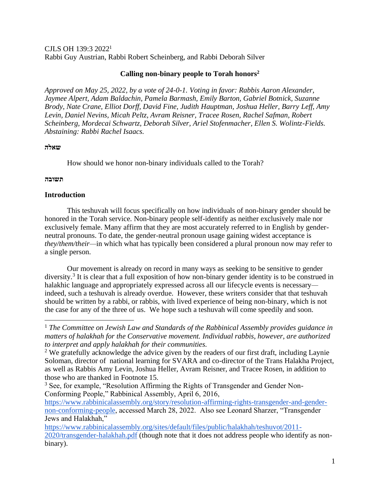CJLS OH 139:3 2022<sup>1</sup> Rabbi Guy Austrian, Rabbi Robert Scheinberg, and Rabbi Deborah Silver

# **Calling non-binary people to Torah honors<sup>2</sup>**

*Approved on May 25, 2022, by a vote of 24-0-1. Voting in favor: Rabbis Aaron Alexander, Jaymee Alpert, Adam Baldachin, Pamela Barmash, Emily Barton, Gabriel Botnick, Suzanne Brody, Nate Crane, Elliot Dorff, David Fine, Judith Hauptman, Joshua Heller, Barry Leff, Amy Levin, Daniel Nevins, Micah Peltz, Avram Reisner, Tracee Rosen, Rachel Safman, Robert Scheinberg, Mordecai Schwartz, Deborah Silver, Ariel Stofenmacher, Ellen S. Wolintz-Fields. Abstaining: Rabbi Rachel Isaacs.*

## **שאלה**

How should we honor non-binary individuals called to the Torah?

## **תשובה**

# **Introduction**

This teshuvah will focus specifically on how individuals of non-binary gender should be honored in the Torah service. Non-binary people self-identify as neither exclusively male nor exclusively female. Many affirm that they are most accurately referred to in English by genderneutral pronouns. To date, the gender-neutral pronoun usage gaining widest acceptance is *they/them/their—*in which what has typically been considered a plural pronoun now may refer to a single person.

Our movement is already on record in many ways as seeking to be sensitive to gender diversity.<sup>3</sup> It is clear that a full exposition of how non-binary gender identity is to be construed in halakhic language and appropriately expressed across all our lifecycle events is necessary indeed, such a teshuvah is already overdue. However, these writers consider that that teshuvah should be written by a rabbi, or rabbis, with lived experience of being non-binary, which is not the case for any of the three of us. We hope such a teshuvah will come speedily and soon.

[https://www.rabbinicalassembly.org/story/resolution-affirming-rights-transgender-and-gender](https://www.rabbinicalassembly.org/story/resolution-affirming-rights-transgender-and-gender-non-conforming-people)[non-conforming-people,](https://www.rabbinicalassembly.org/story/resolution-affirming-rights-transgender-and-gender-non-conforming-people) accessed March 28, 2022. Also see Leonard Sharzer, "Transgender Jews and Halakhah,"

[https://www.rabbinicalassembly.org/sites/default/files/public/halakhah/teshuvot/2011-](https://www.rabbinicalassembly.org/sites/default/files/public/halakhah/teshuvot/2011-2020/transgender-halakhah.pdf) [2020/transgender-halakhah.pdf](https://www.rabbinicalassembly.org/sites/default/files/public/halakhah/teshuvot/2011-2020/transgender-halakhah.pdf) (though note that it does not address people who identify as nonbinary).

<sup>1</sup> *The Committee on Jewish Law and Standards of the Rabbinical Assembly provides guidance in matters of halakhah for the Conservative movement. Individual rabbis, however, are authorized to interpret and apply halakhah for their communities.*

<sup>&</sup>lt;sup>2</sup> We gratefully acknowledge the advice given by the readers of our first draft, including Laynie Soloman, director of national learning for SVARA and co-director of the Trans Halakha Project, as well as Rabbis Amy Levin, Joshua Heller, Avram Reisner, and Tracee Rosen, in addition to those who are thanked in Footnote 15.

<sup>&</sup>lt;sup>3</sup> See, for example, "Resolution Affirming the Rights of Transgender and Gender Non-Conforming People," Rabbinical Assembly, April 6, 2016,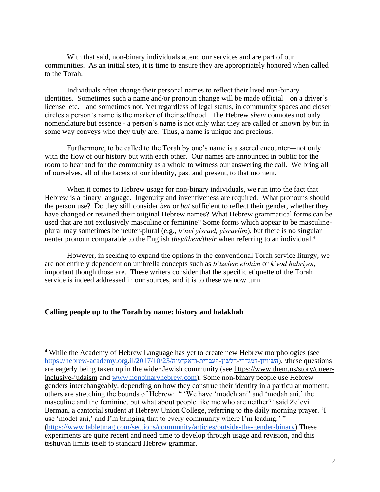With that said, non-binary individuals attend our services and are part of our communities. As an initial step, it is time to ensure they are appropriately honored when called to the Torah.

Individuals often change their personal names to reflect their lived non-binary identities. Sometimes such a name and/or pronoun change will be made official*—*on a driver's license, etc.*—*and sometimes not. Yet regardless of legal status, in community spaces and closer circles a person's name is the marker of their selfhood. The Hebrew *shem* connotes not only nomenclature but essence - a person's name is not only what they are called or known by but in some way conveys who they truly are. Thus, a name is unique and precious.

Furthermore, to be called to the Torah by one's name is a sacred encounter*—*not only with the flow of our history but with each other. Our names are announced in public for the room to hear and for the community as a whole to witness our answering the call. We bring all of ourselves, all of the facets of our identity, past and present, to that moment.

When it comes to Hebrew usage for non-binary individuals, we run into the fact that Hebrew is a binary language. Ingenuity and inventiveness are required. What pronouns should the person use? Do they still consider *ben* or *bat* sufficient to reflect their gender, whether they have changed or retained their original Hebrew names? What Hebrew grammatical forms can be used that are not exclusively masculine or feminine? Some forms which appear to be masculineplural may sometimes be neuter-plural (e.g., *b'nei yisrael, yisraelim*), but there is no singular neuter pronoun comparable to the English *they/them/their* when referring to an individual.<sup>4</sup>

However, in seeking to expand the options in the conventional Torah service liturgy, we are not entirely dependent on umbrella concepts such as *b'tzelem elohim* or *k'vod habriyot*, important though those are. These writers consider that the specific etiquette of the Torah service is indeed addressed in our sources, and it is to these we now turn.

### **Calling people up to the Torah by name: history and halakhah**

<sup>4</sup> While the Academy of Hebrew Language has yet to create new Hebrew morphologies (see https://hebrew-academy.org.il/2017/10/23/השוויון-המגדרי-הלשון-העברית-ההאקדמיה/,\these questions are eagerly being taken up in the wider Jewish community (see [https://www.them.us/story/queer](https://www.them.us/story/queer-inclusive-judaism)[inclusive-judaism](https://www.them.us/story/queer-inclusive-judaism) and [www.nonbinaryhebrew.com\)](http://www.nonbinaryhebrew.com/). Some non-binary people use Hebrew genders interchangeably, depending on how they construe their identity in a particular moment; others are stretching the bounds of Hebrew: " 'We have 'modeh ani' and 'modah ani,' the masculine and the feminine, but what about people like me who are neither?' said Ze'evi Berman, a cantorial student at Hebrew Union College, referring to the daily morning prayer. 'I use 'modet ani,' and I'm bringing that to every community where I'm leading.' " [\(https://www.tabletmag.com/sections/community/articles/outside-the-gender-binary\)](https://www.tabletmag.com/sections/community/articles/outside-the-gender-binary) These experiments are quite recent and need time to develop through usage and revision, and this teshuvah limits itself to standard Hebrew grammar.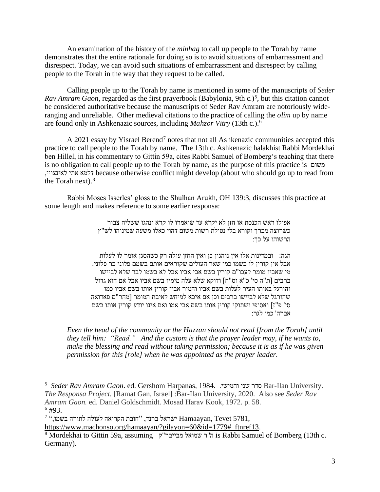An examination of the history of the *minhag* to call up people to the Torah by name demonstrates that the entire rationale for doing so is to avoid situations of embarrassment and disrespect. Today, we can avoid such situations of embarrassment and disrespect by calling people to the Torah in the way that they request to be called.

Calling people up to the Torah by name is mentioned in some of the manuscripts of *Seder*  Rav Amram Gaon, regarded as the first prayerbook (Babylonia, 9th c.)<sup>5</sup>, but this citation cannot be considered authoritative because the manuscripts of Seder Rav Amram are notoriously wideranging and unreliable. Other medieval citations to the practice of calling the *olim* up by name are found only in Ashkenazic sources, including *Mahzor Vitry* (13th c.).<sup>6</sup>

A 2021 essay by Yisrael Berend<sup>7</sup> notes that not all Ashkenazic communities accepted this practice to call people to the Torah by name. The 13th c. Ashkenazic halakhist Rabbi Mordekhai ben Hillel, in his commentary to Gittin 59a, cites Rabbi Samuel of Bomberg's teaching that there is no obligation to call people up to the Torah by name, as the purpose of this practice is משום ,לאינצויי אתי דלמא because otherwise conflict might develop (about who should go up to read from the Torah next).<sup>8</sup>

Rabbi Moses Isserles' gloss to the Shulhan Arukh, OH 139:3, discusses this practice at some length and makes reference to some earlier responsa:

> אפילו ראש הכנסת או חזן לא יקרא עד שיאמרו לו קרא ונהגו ששליח צבור כשרוצה מברך וקורא בלי נטילת רשות משום דהוי כאלו משעה שמינוהו לש"ץ הרשוהו על כך:

הגה: ובמדינות אלו אין נוהגין כן ואין החזן עולה רק כשהסגן אומר לו לעלות אבל אין קורין לו בשמו כמו שאר העולים שקוראים אותם בשמם פלוני בר פלוני. מי שאביו מומר לעכו"ם קורין בשם אבי אביו אבל לא בשמו לבד שלא לביישו ברבים ]ת"ה סי' כ"א וס"ח[ ודוקא שלא עלה מימיו בשם אביו אבל אם הוא גדול והורגל באותו העיר לעלות בשם אביו והמיר אביו קורין אותו בשם אביו כמו שהורגל שלא לביישו ברבים וכן אם איכא למיחש לאיבת המומר ]מהר"ם פאדואה סי' פ"ז[ ואסופי ושתוקי קורין אותו בשם אבי אמו ואם אינו יודע קורין אותו בשם אברה' כמו לגר:

*Even the head of the community or the Hazzan should not read [from the Torah] until they tell him: "Read." And the custom is that the prayer leader may, if he wants to, make the blessing and read without taking permission; because it is as if he was given permission for this [role] when he was appointed as the prayer leader.*

<sup>5</sup> *Seder Rav Amram Gaon*. ed. Gershom Harpanas, 1984. .וחמישי שני סדר Bar-Ilan University. *The Responsa Project.* [Ramat Gan, Israel] :Bar-Ilan University, 2020. Also see *Seder Rav Amram Gaon.* ed. Daniel Goldschmidt. Mosad Harav Kook, 1972. p. 58.  $6 \#93$ .

 $^7$  הישראל ברנד, י"חובת הקריאה לעולה לתורה בשמו, Tevet 5781, [https://www.machonso.org/hamaayan/?gilayon=60&id=1779#\\_ftnref13.](https://www.machonso.org/hamaayan/?gilayon=60&id=1779#_ftnref13)

<sup>8</sup> Mordekhai to Gittin 59a, assuming ק "מבייבר שמואל ר''ה is Rabbi Samuel of Bomberg (13th c. Germany).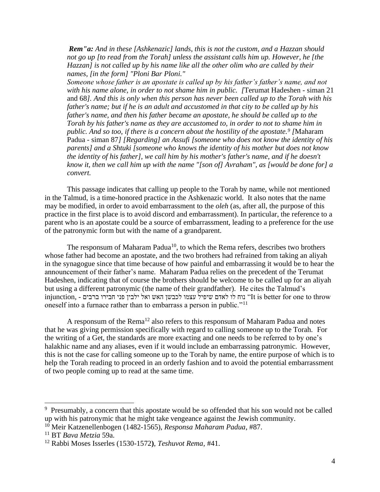*Rem"a: And in these [Ashkenazic] lands, this is not the custom, and a Hazzan should not go up [to read from the Torah] unless the assistant calls him up. However, he [the Hazzan] is not called up by his name like all the other olim who are called by their names, [in the form] "Ploni Bar Ploni."*

*Someone whose father is an apostate is called up by his father's father's name, and not with his name alone, in order to not shame him in public. [*Terumat Hadeshen - siman 21 and 68*]. And this is only when this person has never been called up to the Torah with his father's name; but if he is an adult and accustomed in that city to be called up by his father's name, and then his father became an apostate, he should be called up to the Torah by his father's name as they are accustomed to, in order to not to shame him in public. And so too, if there is a concern about the hostility of the apostate.<sup>9</sup> [*Maharam Padua - siman 87*] [Regarding] an Assufi [someone who does not know the identity of his parents] and a Shtuki [someone who knows the identity of his mother but does not know the identity of his father], we call him by his mother's father's name, and if he doesn't know it, then we call him up with the name "[son of] Avraham", as [would be done for] a convert.* 

This passage indicates that calling up people to the Torah by name, while not mentioned in the Talmud, is a time-honored practice in the Ashkenazic world. It also notes that the name may be modified, in order to avoid embarrassment to the *oleh* (as, after all, the purpose of this practice in the first place is to avoid discord and embarrassment). In particular, the reference to a parent who is an apostate could be a source of embarrassment, leading to a preference for the use of the patronymic form but with the name of a grandparent.

The responsum of Maharam Padua<sup>10</sup>, to which the Rema refers, describes two brothers whose father had become an apostate, and the two brothers had refrained from taking an aliyah in the synagogue since that time because of how painful and embarrassing it would be to hear the announcement of their father's name. Maharam Padua relies on the precedent of the Terumat Hadeshen, indicating that of course the brothers should be welcome to be called up for an aliyah but using a different patronymic (the name of their grandfather). He cites the Talmud's injunction, - נוח לו לאדם שיפיל עצמו לכבשן האש ואל ילבין פני חבירו ברבים - הי<br/>It is better for one to throw oneself into a furnace rather than to embarrass a person in public."<sup>11</sup>

A responsum of the Rema<sup>12</sup> also refers to this responsum of Maharam Padua and notes that he was giving permission specifically with regard to calling someone up to the Torah. For the writing of a Get, the standards are more exacting and one needs to be referred to by one's halakhic name and any aliases, even if it would include an embarrassing patronymic. However, this is not the case for calling someone up to the Torah by name, the entire purpose of which is to help the Torah reading to proceed in an orderly fashion and to avoid the potential embarrassment of two people coming up to read at the same time.

<sup>&</sup>lt;sup>9</sup> Presumably, a concern that this apostate would be so offended that his son would not be called up with his patronymic that he might take vengeance against the Jewish community. <sup>10</sup> Meir Katzenellenbogen (1482-1565), *Responsa Maharam Padua*, #87.

<sup>11</sup> BT *Bava Metzia* 59a.

<sup>12</sup> Rabbi Moses Isserles (1530-1572**)**, *Teshuvot Rema*, #41.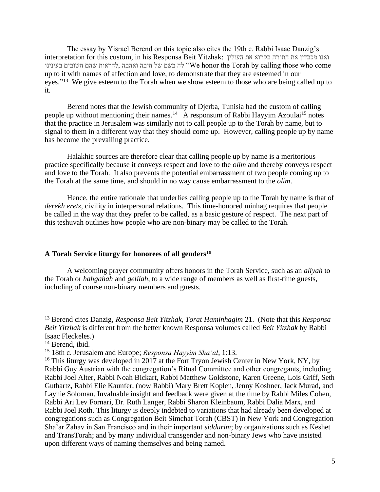The essay by Yisrael Berend on this topic also cites the 19th c. Rabbi Isaac Danzig's interpretation for this custom, in his Responsa Beit Yitzhak: העולין את בקרוא התורה את מכבדין ואנו כה ישל חיבה ואהבה להראות שהם חשובים בעינינו "We honor the Torah by calling those who come up to it with names of affection and love, to demonstrate that they are esteemed in our eyes."<sup>13</sup> We give esteem to the Torah when we show esteem to those who are being called up to it.

Berend notes that the Jewish community of Djerba, Tunisia had the custom of calling people up without mentioning their names.<sup>14</sup> A responsum of Rabbi Hayyim Azoulai<sup>15</sup> notes that the practice in Jerusalem was similarly not to call people up to the Torah by name, but to signal to them in a different way that they should come up. However, calling people up by name has become the prevailing practice.

Halakhic sources are therefore clear that calling people up by name is a meritorious practice specifically because it conveys respect and love to the *olim* and thereby conveys respect and love to the Torah. It also prevents the potential embarrassment of two people coming up to the Torah at the same time, and should in no way cause embarrassment to the *olim*.

Hence, the entire rationale that underlies calling people up to the Torah by name is that of *derekh eretz*, civility in interpersonal relations. This time-honored minhag requires that people be called in the way that they prefer to be called, as a basic gesture of respect. The next part of this teshuvah outlines how people who are non-binary may be called to the Torah.

## **A Torah Service liturgy for honorees of all genders<sup>16</sup>**

A welcoming prayer community offers honors in the Torah Service, such as an *aliyah* to the Torah or *habgahah* and *gelilah*, to a wide range of members as well as first-time guests, including of course non-binary members and guests.

<sup>13</sup> Berend cites Danzig, *Responsa Beit Yitzhak, Torat Haminhagim* 21. (Note that this *Responsa Beit Yitzhak* is different from the better known Responsa volumes called *Beit Yitzhak* by Rabbi Isaac Fleckeles.)

<sup>&</sup>lt;sup>14</sup> Berend, ibid.

<sup>15</sup> 18th c. Jerusalem and Europe; *Responsa Hayyim Sha'al*, 1:13.

<sup>&</sup>lt;sup>16</sup> This liturgy was developed in 2017 at the Fort Tryon Jewish Center in New York, NY, by Rabbi Guy Austrian with the congregation's Ritual Committee and other congregants, including Rabbi Joel Alter, Rabbi Noah Bickart, Rabbi Matthew Goldstone, Karen Greene, Lois Griff, Seth Guthartz, Rabbi Elie Kaunfer, (now Rabbi) Mary Brett Koplen, Jenny Koshner, Jack Murad, and Laynie Soloman. Invaluable insight and feedback were given at the time by Rabbi Miles Cohen, Rabbi Ari Lev Fornari, Dr. Ruth Langer, Rabbi Sharon Kleinbaum, Rabbi Dalia Marx, and Rabbi Joel Roth. This liturgy is deeply indebted to variations that had already been developed at congregations such as Congregation Beit Simchat Torah (CBST) in New York and Congregation Sha'ar Zahav in San Francisco and in their important *siddurim*; by organizations such as Keshet and TransTorah; and by many individual transgender and non-binary Jews who have insisted upon different ways of naming themselves and being named.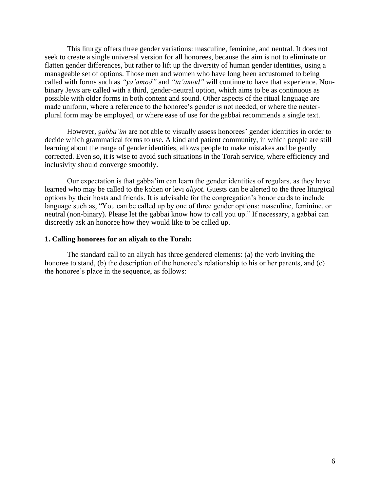This liturgy offers three gender variations: masculine, feminine, and neutral. It does not seek to create a single universal version for all honorees, because the aim is not to eliminate or flatten gender differences, but rather to lift up the diversity of human gender identities, using a manageable set of options. Those men and women who have long been accustomed to being called with forms such as *"ya'amod"* and *"ta'amod"* will continue to have that experience. Nonbinary Jews are called with a third, gender-neutral option, which aims to be as continuous as possible with older forms in both content and sound. Other aspects of the ritual language are made uniform, where a reference to the honoree's gender is not needed, or where the neuterplural form may be employed, or where ease of use for the gabbai recommends a single text.

However, *gabba'im* are not able to visually assess honorees' gender identities in order to decide which grammatical forms to use. A kind and patient community, in which people are still learning about the range of gender identities, allows people to make mistakes and be gently corrected. Even so, it is wise to avoid such situations in the Torah service, where efficiency and inclusivity should converge smoothly.

Our expectation is that gabba'im can learn the gender identities of regulars, as they have learned who may be called to the kohen or levi *aliyot.* Guests can be alerted to the three liturgical options by their hosts and friends. It is advisable for the congregation's honor cards to include language such as, "You can be called up by one of three gender options: masculine, feminine, or neutral (non-binary). Please let the gabbai know how to call you up." If necessary, a gabbai can discreetly ask an honoree how they would like to be called up.

#### **1. Calling honorees for an aliyah to the Torah:**

The standard call to an aliyah has three gendered elements: (a) the verb inviting the honoree to stand, (b) the description of the honoree's relationship to his or her parents, and (c) the honoree's place in the sequence, as follows: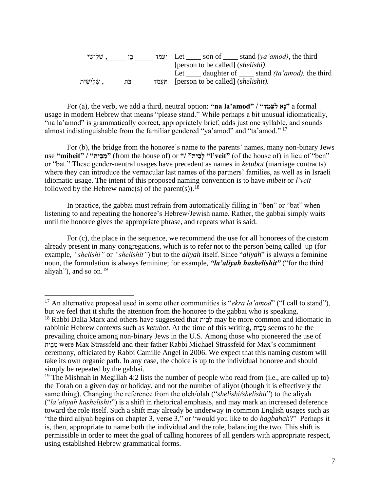| ֹשֶׁלִישִׁי |    | יִצְמֹּד Let ______ son of ______ stand (ya'amod), the third                                                           |
|-------------|----|------------------------------------------------------------------------------------------------------------------------|
|             |    | [person to be called] (shelishi).                                                                                      |
| . שלישית    | בת | Let $\_\_\_\$ daughter of $\_\_\_\$ stand <i>(ta'amod)</i> , the third<br>תַעֲמֹד   [person to be called] (shelishit). |
|             |    |                                                                                                                        |

For (a), the verb, we add a third, neutral option: **"na la'amod" / "דֹמֲעַל אָנ "**a formal usage in modern Hebrew that means "please stand." While perhaps a bit unusual idiomatically, "na la'amod" is grammatically correct, appropriately brief, adds just one syllable, and sounds almost indistinguishable from the familiar gendered "ya'amod" and "ta'amod." <sup>17</sup>

For (b), the bridge from the honoree's name to the parents' names, many non-binary Jews use "mibeit" / "מבּית" (from the house of) or "/ "לבית" (of the house of) in lieu of "ben" or "bat." These gender-neutral usages have precedent as names in *ketubot* (marriage contracts) where they can introduce the vernacular last names of the partners' families, as well as in Israeli idiomatic usage. The intent of this proposed naming convention is to have *mibeit* or *l'veit* followed by the Hebrew name(s) of the parent(s)).<sup>18</sup>

In practice, the gabbai must refrain from automatically filling in "ben" or "bat" when listening to and repeating the honoree's Hebrew/Jewish name. Rather, the gabbai simply waits until the honoree gives the appropriate phrase, and repeats what is said.

For (c), the place in the sequence, we recommend the use for all honorees of the custom already present in many congregations, which is to refer not to the person being called up (for example, *"shelishi"* or *"shelishit"*) but to the *aliyah* itself. Since "*aliyah*" is always a feminine noun, the formulation is always feminine; for example, *"la'aliyah hashelishit"* ("for the third aliyah"), and so on.<sup>19</sup>

<sup>&</sup>lt;sup>17</sup> An alternative proposal used in some other communities is "*ekra la'amod*" ("I call to stand"), but we feel that it shifts the attention from the honoree to the gabbai who is speaking.

<sup>&</sup>lt;sup>18</sup> Rabbi Dalia Marx and others have suggested that  $\zeta$ לבית may be more common and idiomatic in rabbinic Hebrew contexts such as *ketubot*. At the time of this writing, יתֵב ִמ seems to be the prevailing choice among non-binary Jews in the U.S. Among those who pioneered the use of יתֵב ִמ were Max Strassfeld and their father Rabbi Michael Strassfeld for Max's commitment ceremony, officiated by Rabbi Camille Angel in 2006. We expect that this naming custom will take its own organic path. In any case, the choice is up to the individual honoree and should simply be repeated by the gabbai.

<sup>&</sup>lt;sup>19</sup> The Mishnah in Megillah 4:2 lists the number of people who read from (i.e., are called up to) the Torah on a given day or holiday, and not the number of aliyot (though it is effectively the same thing). Changing the reference from the oleh/olah ("*shelishi/shelishit*") to the aliyah ("*la'aliyah hashelishit*") is a shift in rhetorical emphasis, and may mark an increased deference toward the role itself. Such a shift may already be underway in common English usages such as "the third aliyah begins on chapter 3, verse 3," or "would you like to do *hagbahah*?" Perhaps it is, then, appropriate to name both the individual and the role, balancing the two. This shift is permissible in order to meet the goal of calling honorees of all genders with appropriate respect, using established Hebrew grammatical forms.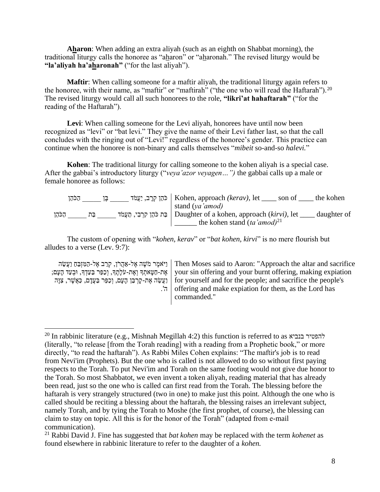**Aharon**: When adding an extra aliyah (such as an eighth on Shabbat morning), the traditional liturgy calls the honoree as "aharon" or "aharonah." The revised liturgy would be **"la'aliyah ha'aharonah"** ("for the last aliyah").

**Maftir**: When calling someone for a maftir aliyah, the traditional liturgy again refers to the honoree, with their name, as "maftir" or "maftirah" ("the one who will read the Haftarah").<sup>20</sup> The revised liturgy would call all such honorees to the role, **"likri'at hahaftarah"** ("for the reading of the Haftarah").

**Levi**: When calling someone for the Levi aliyah, honorees have until now been recognized as "levi" or "bat levi." They give the name of their Levi father last, so that the call concludes with the ringing out of "Levi!" regardless of the honoree's gender. This practice can continue when the honoree is non-binary and calls themselves "*mibeit* so-and-so *halevi.*"

**Kohen**: The traditional liturgy for calling someone to the kohen aliyah is a special case. After the gabbai's introductory liturgy ("*veya'azor veyagen…")* the gabbai calls up a male or female honoree as follows:

| הכהו |     | ן להון קרב, יַעֲמֹד   Kohen, approach <i>(kerav)</i> , let<br>son of | the kohen   |
|------|-----|----------------------------------------------------------------------|-------------|
|      |     | stand (ya'amod)                                                      |             |
| הכהו | בּת | רִבְי, תַעֲמֹד   Daughter of a kohen, approach (kirvi), let          | daughter of |
|      |     | the kohen stand $(ta'amod)^{21}$                                     |             |

The custom of opening with "*kohen, kerav*" or "*bat kohen, kirvi*" is no mere flourish but alludes to a verse (Lev. 9:7):

וַיֹּאמֶר מֹשֶׁה אֶל-אַהֲרֹן, קְרַב אֶל-הַמִּזְבֵּחַ וַעֲשֵׂה | Then Moses said to Aaron: "Approach the altar and sacrifice אֶּ ת-חַטָאתְׁ ָך וְׁאֶּ ת-עֹלָתֶּ ָך, וְׁ כַפֵר בַעַדְׁ ָך, ּובְׁ עַד הָעָם; ן וַעֲשֵׂה אֶת-קָרְבַּן הָעָם, וְכַפֵּר בַּעֲדָם, כַּאֲשֶׁר, צִוָּה | for yourself and for the people; and sacrifice the people's ה'. your sin offering and your burnt offering, making expiation offering and make expiation for them, as the Lord has commanded."

<sup>&</sup>lt;sup>20</sup> In rabbinic literature (e.g., Mishnah Megillah 4:2) this function is referred to as  $\kappa$ כוביא להפטיר בנביא (literally, "to release [from the Torah reading] with a reading from a Prophetic book," or more directly, "to read the haftarah"). As Rabbi Miles Cohen explains: "The maftir's job is to read from Nevi'im (Prophets). But the one who is called is not allowed to do so without first paying respects to the Torah. To put Nevi'im and Torah on the same footing would not give due honor to the Torah. So most Shabbatot, we even invent a token aliyah, reading material that has already been read, just so the one who is called can first read from the Torah. The blessing before the haftarah is very strangely structured (two in one) to make just this point. Although the one who is called should be reciting a blessing about the haftarah, the blessing raises an irrelevant subject, namely Torah, and by tying the Torah to Moshe (the first prophet, of course), the blessing can claim to stay on topic. All this is for the honor of the Torah" (adapted from e-mail communication).

<sup>21</sup> Rabbi David J. Fine has suggested that *bat kohen* may be replaced with the term *kohenet* as found elsewhere in rabbinic literature to refer to the daughter of a *kohen.*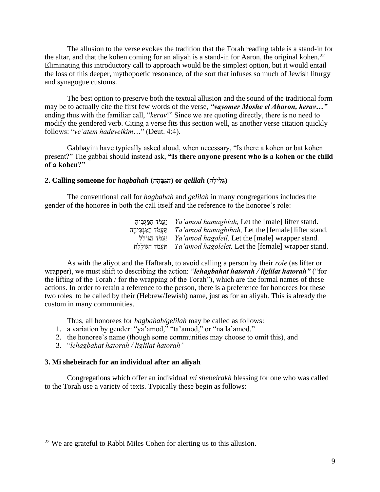The allusion to the verse evokes the tradition that the Torah reading table is a stand-in for the altar, and that the kohen coming for an aliyah is a stand-in for Aaron, the original kohen.<sup>22</sup> Eliminating this introductory call to approach would be the simplest option, but it would entail the loss of this deeper, mythopoetic resonance, of the sort that infuses so much of Jewish liturgy and synagogue customs.

The best option to preserve both the textual allusion and the sound of the traditional form may be to actually cite the first few words of the verse, *"vayomer Moshe el Aharon, kerav…"* ending thus with the familiar call, "*kerav*!" Since we are quoting directly, there is no need to modify the gendered verb. Citing a verse fits this section well, as another verse citation quickly follows: "*ve'atem hadeveikim*…" (Deut. 4:4).

Gabbayim have typically asked aloud, when necessary, "Is there a kohen or bat kohen present?" The gabbai should instead ask, **"Is there anyone present who is a kohen or the child of a kohen?"**

#### **(גְ לִ ילָה)** *gelilah* **or) הַ גְבָ הָה)** *hagbahah* **for someone Calling 2.**

The conventional call for *hagbahah* and *gelilah* in many congregations includes the gender of the honoree in both the call itself and the reference to the honoree's role:

| יַעֲמֹד הַמַּגְבִּיה   Ya'amod hamagbiah, Let the [male] lifter stand.       |
|------------------------------------------------------------------------------|
| תַּעֲמֹד הַמַּגְבִּיהָה   Ta'amod hamagbihah, Let the [female] lifter stand. |
| יַצְמֹּד הַגּוֹלֵל   Ya'amod hagoleil, Let the [male] wrapper stand.         |
| תַעֲמֹד הָגּוֹלֵלָת   Ta'amod hagolelet, Let the [female] wrapper stand.     |

As with the aliyot and the Haftarah, to avoid calling a person by their *role* (as lifter or wrapper), we must shift to describing the action: "*lehagbahat hatorah / liglilat hatorah"* ("for the lifting of the Torah / for the wrapping of the Torah"), which are the formal names of these actions. In order to retain a reference to the person, there is a preference for honorees for these two roles to be called by their (Hebrew/Jewish) name, just as for an aliyah. This is already the custom in many communities.

Thus, all honorees for *hagbahah/gelilah* may be called as follows:

- 1. a variation by gender: "ya'amod," "ta'amod," or "na la'amod,"
- 2. the honoree's name (though some communities may choose to omit this), and
- 3. "*lehagbahat hatorah / liglilat hatorah"*

## **3. Mi shebeirach for an individual after an aliyah**

Congregations which offer an individual *mi shebeirakh* blessing for one who was called to the Torah use a variety of texts. Typically these begin as follows:

<sup>&</sup>lt;sup>22</sup> We are grateful to Rabbi Miles Cohen for alerting us to this allusion.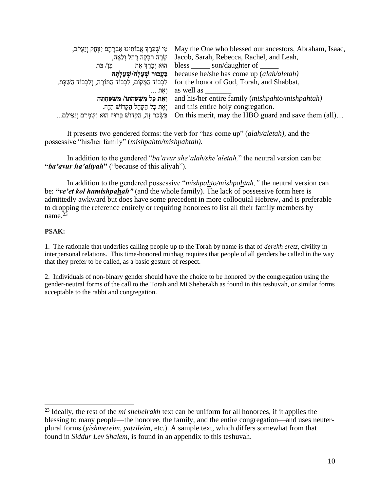| ּמִי שֶׁבֵּרַךְ אֲבוֹתֵינוּ אַבְרָהָם יִצְחָק וְיַעֲקֹב,       | May the One who blessed our ancestors, Abraham, Isaac,    |
|----------------------------------------------------------------|-----------------------------------------------------------|
| שָׂרָה רִבְקָה רָחֵל וְלֵאָה,                                  | Jacob, Sarah, Rebecca, Rachel, and Leah,                  |
| הוּא יִבַרֵךְ אֵת יִבֵּן/ בַּת                                 | bless $\_\_\_$ son/daughter of $\_\_\_\_$                 |
| בַּעֲבוּר שֶׁעָלָה/שֶׁעָלְתָה                                  | because he/she has come up ( <i>alah/aletah</i> )         |
| לִכְבוֹד הַמַּקוֹם, לִכְבוֹד הַתּוֹרָה, וְלִכְבוֹד הַשַּׁבָּת, | for the honor of God, Torah, and Shabbat,                 |
| מָאָת                                                          | as well as                                                |
| ואת כל משפחתו/ משפחתה                                          | and his/her entire family ( <i>mishpahto/mishpahtah</i> ) |
| וְאֵת כַּל הַקַּהַל הַקֵּדוֹשׁ הַזֶּה.                         | and this entire holy congregation.                        |
| בִּשְׂכַר זֶה, הַקָּדוֹשׁ בָּרוּךְ הוּא יִשְׁמְרֵם וְיַצִּילֵם | On this merit, may the HBO guard and save them (all)      |

It presents two gendered forms: the verb for "has come up" (*alah/aletah),* and the possessive "his/her family" (*mishpahto/mishpahtah).* 

In addition to the gendered "*ba'avur she'alah/she'aletah,*" the neutral version can be: **"***ba'avur ha'aliyah***"** ("because of this aliyah").

In addition to the gendered possessive "*mishpahto/mishpahtah,"* the neutral version can be: **"***ve'et kol hamishpahah"* (and the whole family). The lack of possessive form here is admittedly awkward but does have some precedent in more colloquial Hebrew, and is preferable to dropping the reference entirely or requiring honorees to list all their family members by name.<sup>23</sup>

### **PSAK:**

1. The rationale that underlies calling people up to the Torah by name is that of *derekh eretz*, civility in interpersonal relations. This time-honored minhag requires that people of all genders be called in the way that they prefer to be called, as a basic gesture of respect.

2. Individuals of non-binary gender should have the choice to be honored by the congregation using the gender-neutral forms of the call to the Torah and Mi Sheberakh as found in this teshuvah, or similar forms acceptable to the rabbi and congregation.

<sup>23</sup> Ideally, the rest of the *mi shebeirakh* text can be uniform for all honorees, if it applies the blessing to many people—the honoree, the family, and the entire congregation—and uses neuterplural forms (*yishmereim, yatzileim,* etc.). A sample text, which differs somewhat from that found in *Siddur Lev Shalem*, is found in an appendix to this teshuvah.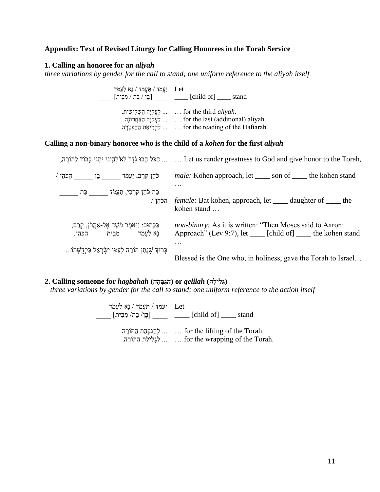# **Appendix: Text of Revised Liturgy for Calling Honorees in the Torah Service**

## **1. Calling an honoree for an** *aliyah*

*three variations by gender for the call to stand; one uniform reference to the aliyah itself*

יַעֲמֹד / תַ עֲמֹד / נָא לַעֲמֹד  $\lceil$ בֶּן / בַּת / מִבֵּית $[$ ... לַעֲלִיָה הַשְׁ לִישִ ית. ... לַעֲלִיָה הָאַ חֲרֹונָה. ... לִקְרִיאַת הַהַפְטָרָה. Let \_\_\_\_ [child of] \_\_\_\_ stand … for the third *aliyah*. … for the last (additional) aliyah. … for the reading of the Haftarah.

# **Calling a non-binary honoree who is the child of a** *kohen* **for the first** *aliyah*

|                                                                                                                                                  | לְתּוֹרָה,  [  Let us render greatness to God and give honor to the Torah,  הַכֹּל הָבוּ גְדֵל לְא'לְהֱינוּ וּתְנוּ כָבוֹד לַתּוֹרָה,   |
|--------------------------------------------------------------------------------------------------------------------------------------------------|-----------------------------------------------------------------------------------------------------------------------------------------|
| ּכֹּהֵן קְרַב, יַעֲמֹד _______ בֶּן _______ הַכֹּהֵן /                                                                                           | <i>male:</i> Kohen approach, let ______ son of ______ the kohen stand                                                                   |
| בַּת כֹּהֵן קְרָבִי, תַעֲמֹד<br>בת                                                                                                               | .<br>/ הַכֹּהֵן   female: Bat kohen, approach, let _____ daughter of _____ the<br>kohen stand                                           |
| ּכַּכָּתוּב: וַיֹּאמֶר מֹשֶׁה אֶל-אַהֲרֹן, קְרַב,<br>נַא לַעֲמֹד מְבֵית הַכֹּהֵן.<br>בָרוּךְ שֶׁנָּתַן תּוֹרָה לְעַמּוֹ יִשְׂרָאֵל בִקְדֻשָּׁתוֹ | non-binary: As it is written: "Then Moses said to Aaron:<br>Approach" (Lev 9:7), let _____ [child of] _____ the kohen stand<br>$\cdots$ |
|                                                                                                                                                  | Blessed is the One who, in holiness, gave the Torah to Israel                                                                           |

# **(גְ לִ ילָה)** *gelilah* **or) הַ גְבָ הָה)** *hagbahah* **for someone Calling 2.**

*three variations by gender for the call to stand; one uniform reference to the action itself*

| יַעֲמֹד / תַּעֲמֹד / נָא לַעֲמֹד Let | $\left\lceil \frac{1}{n^2}, \frac{1}{n^2} \right\rceil$ ____ [child of] ____ stand                    |
|--------------------------------------|-------------------------------------------------------------------------------------------------------|
|                                      | הַתּוֹרָה.    for the lifting of the Torah.<br>לְגְלִילָת הַתּוֹרָה    for the wrapping of the Torah. |